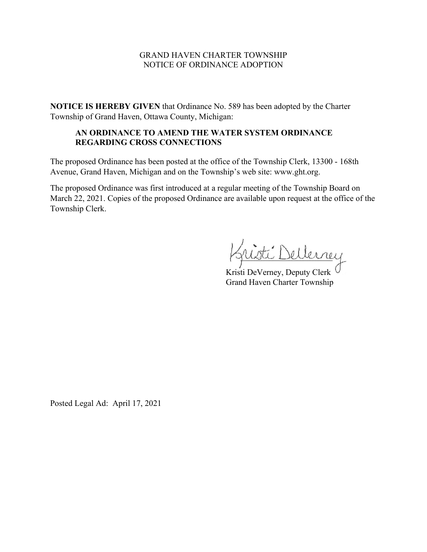## GRAND HAVEN CHARTER TOWNSHIP NOTICE OF ORDINANCE ADOPTION

**NOTICE IS HEREBY GIVEN** that Ordinance No. 589 has been adopted by the Charter Township of Grand Haven, Ottawa County, Michigan:

## **AN ORDINANCE TO AMEND THE WATER SYSTEM ORDINANCE REGARDING CROSS CONNECTIONS**

The proposed Ordinance has been posted at the office of the Township Clerk, 13300 - 168th Avenue, Grand Haven, Michigan and on the Township's web site: www.ght.org.

The proposed Ordinance was first introduced at a regular meeting of the Township Board on March 22, 2021. Copies of the proposed Ordinance are available upon request at the office of the Township Clerk.

ellerrey

Kristi DeVerney, Deputy Clerk Grand Haven Charter Township

Posted Legal Ad: April 17, 2021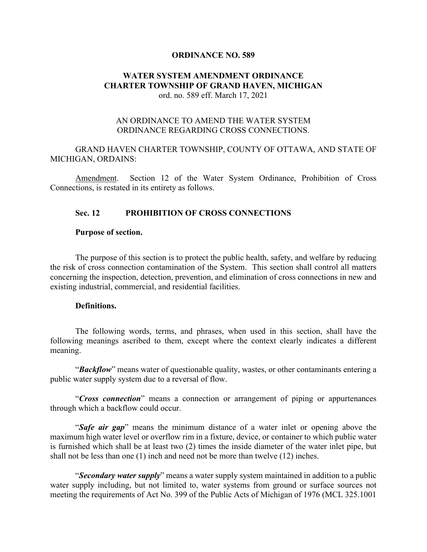#### **ORDINANCE NO. 589**

### **WATER SYSTEM AMENDMENT ORDINANCE CHARTER TOWNSHIP OF GRAND HAVEN, MICHIGAN** ord. no. 589 eff. March 17, 2021

## AN ORDINANCE TO AMEND THE WATER SYSTEM ORDINANCE REGARDING CROSS CONNECTIONS.

## GRAND HAVEN CHARTER TOWNSHIP, COUNTY OF OTTAWA, AND STATE OF MICHIGAN, ORDAINS:

Amendment. Section 12 of the Water System Ordinance, Prohibition of Cross Connections, is restated in its entirety as follows.

### **Sec. 12 PROHIBITION OF CROSS CONNECTIONS**

#### **Purpose of section.**

The purpose of this section is to protect the public health, safety, and welfare by reducing the risk of cross connection contamination of the System. This section shall control all matters concerning the inspection, detection, prevention, and elimination of cross connections in new and existing industrial, commercial, and residential facilities.

#### **Definitions.**

The following words, terms, and phrases, when used in this section, shall have the following meanings ascribed to them, except where the context clearly indicates a different meaning.

"*Backflow*" means water of questionable quality, wastes, or other contaminants entering a public water supply system due to a reversal of flow.

"*Cross connection*" means a connection or arrangement of piping or appurtenances through which a backflow could occur.

"*Safe air gap*" means the minimum distance of a water inlet or opening above the maximum high water level or overflow rim in a fixture, device, or container to which public water is furnished which shall be at least two (2) times the inside diameter of the water inlet pipe, but shall not be less than one (1) inch and need not be more than twelve (12) inches.

"*Secondary water supply*" means a water supply system maintained in addition to a public water supply including, but not limited to, water systems from ground or surface sources not meeting the requirements of Act No. 399 of the Public Acts of Michigan of 1976 (MCL 325.1001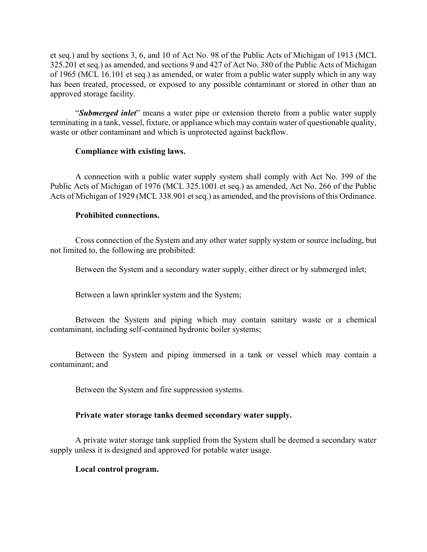et seq.) and by sections 3, 6, and 10 of Act No. 98 of the Public Acts of Michigan of 1913 (MCL 325.201 et seq.) as amended, and sections 9 and 427 of Act No. 380 of the Public Acts of Michigan of 1965 (MCL 16.101 et seq.) as amended, or water from a public water supply which in any way has been treated, processed, or exposed to any possible contaminant or stored in other than an approved storage facility.

"*Submerged inlet*" means a water pipe or extension thereto from a public water supply terminating in a tank, vessel, fixture, or appliance which may contain water of questionable quality, waste or other contaminant and which is unprotected against backflow.

## **Compliance with existing laws.**

A connection with a public water supply system shall comply with Act No. 399 of the Public Acts of Michigan of 1976 (MCL 325.1001 et seq.) as amended, Act No. 266 of the Public Acts of Michigan of 1929 (MCL 338.901 et seq.) as amended, and the provisions of this Ordinance.

# **Prohibited connections.**

Cross connection of the System and any other water supply system or source including, but not limited to, the following are prohibited:

Between the System and a secondary water supply, either direct or by submerged inlet;

Between a lawn sprinkler system and the System;

Between the System and piping which may contain sanitary waste or a chemical contaminant, including self-contained hydronic boiler systems;

Between the System and piping immersed in a tank or vessel which may contain a contaminant; and

Between the System and fire suppression systems.

# **Private water storage tanks deemed secondary water supply.**

A private water storage tank supplied from the System shall be deemed a secondary water supply unless it is designed and approved for potable water usage.

# **Local control program.**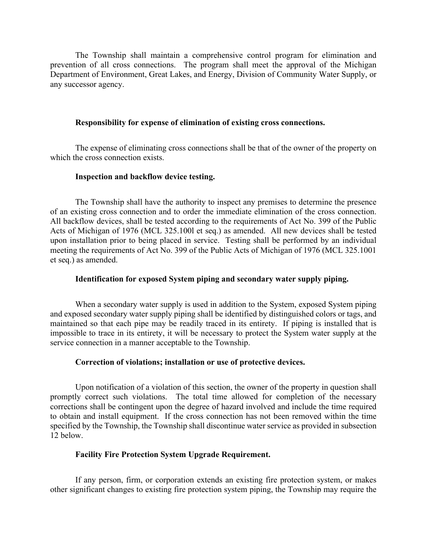The Township shall maintain a comprehensive control program for elimination and prevention of all cross connections. The program shall meet the approval of the Michigan Department of Environment, Great Lakes, and Energy, Division of Community Water Supply, or any successor agency.

### **Responsibility for expense of elimination of existing cross connections.**

The expense of eliminating cross connections shall be that of the owner of the property on which the cross connection exists.

#### **Inspection and backflow device testing.**

The Township shall have the authority to inspect any premises to determine the presence of an existing cross connection and to order the immediate elimination of the cross connection. All backflow devices, shall be tested according to the requirements of Act No. 399 of the Public Acts of Michigan of 1976 (MCL 325.100l et seq.) as amended. All new devices shall be tested upon installation prior to being placed in service. Testing shall be performed by an individual meeting the requirements of Act No. 399 of the Public Acts of Michigan of 1976 (MCL 325.1001 et seq.) as amended.

### **Identification for exposed System piping and secondary water supply piping.**

When a secondary water supply is used in addition to the System, exposed System piping and exposed secondary water supply piping shall be identified by distinguished colors or tags, and maintained so that each pipe may be readily traced in its entirety. If piping is installed that is impossible to trace in its entirety, it will be necessary to protect the System water supply at the service connection in a manner acceptable to the Township.

### **Correction of violations; installation or use of protective devices.**

Upon notification of a violation of this section, the owner of the property in question shall promptly correct such violations. The total time allowed for completion of the necessary corrections shall be contingent upon the degree of hazard involved and include the time required to obtain and install equipment. If the cross connection has not been removed within the time specified by the Township, the Township shall discontinue water service as provided in subsection 12 below.

#### **Facility Fire Protection System Upgrade Requirement.**

If any person, firm, or corporation extends an existing fire protection system, or makes other significant changes to existing fire protection system piping, the Township may require the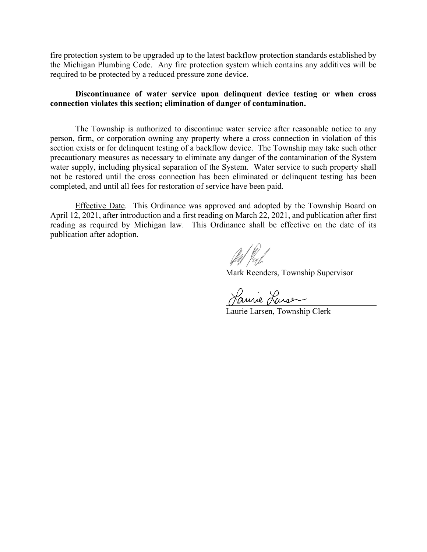fire protection system to be upgraded up to the latest backflow protection standards established by the Michigan Plumbing Code. Any fire protection system which contains any additives will be required to be protected by a reduced pressure zone device.

### **Discontinuance of water service upon delinquent device testing or when cross connection violates this section; elimination of danger of contamination.**

The Township is authorized to discontinue water service after reasonable notice to any person, firm, or corporation owning any property where a cross connection in violation of this section exists or for delinquent testing of a backflow device. The Township may take such other precautionary measures as necessary to eliminate any danger of the contamination of the System water supply, including physical separation of the System. Water service to such property shall not be restored until the cross connection has been eliminated or delinquent testing has been completed, and until all fees for restoration of service have been paid.

Effective Date. This Ordinance was approved and adopted by the Township Board on April 12, 2021, after introduction and a first reading on March 22, 2021, and publication after first reading as required by Michigan law. This Ordinance shall be effective on the date of its publication after adoption.

 $\frac{1}{\sqrt{1-\frac{1}{\sqrt{1-\frac{1}{\sqrt{1-\frac{1}{\sqrt{1-\frac{1}{\sqrt{1-\frac{1}{\sqrt{1-\frac{1}{\sqrt{1-\frac{1}{\sqrt{1-\frac{1}{\sqrt{1-\frac{1}{\sqrt{1-\frac{1}{\sqrt{1-\frac{1}{\sqrt{1-\frac{1}{\sqrt{1-\frac{1}{\sqrt{1-\frac{1}{\sqrt{1-\frac{1}{\sqrt{1-\frac{1}{\sqrt{1-\frac{1}{\sqrt{1-\frac{1}{\sqrt{1-\frac{1}{\sqrt{1-\frac{1}{\sqrt{1-\frac{1}{\sqrt{1-\frac{1}{\sqrt{1-\frac{1}{\sqrt{1-\frac{1$ 

Laurie Larse

Laurie Larsen, Township Clerk